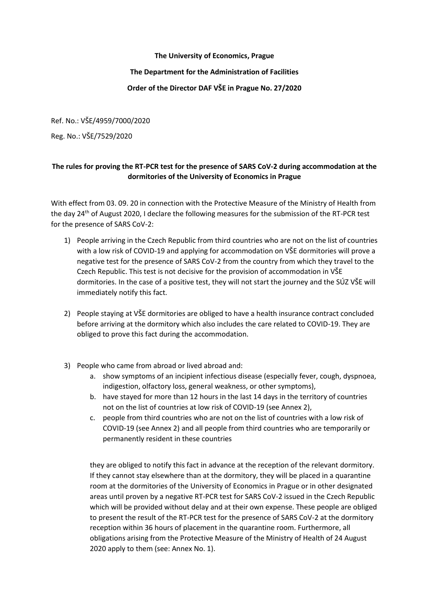### **The University of Economics, Prague**

### **The Department for the Administration of Facilities**

## **Order of the Director DAF VŠE in Prague No. 27/2020**

Ref. No.: VŠE/4959/7000/2020

Reg. No.: VŠE/7529/2020

# **The rules for proving the RT-PCR test for the presence of SARS CoV-2 during accommodation at the dormitories of the University of Economics in Prague**

With effect from 03. 09. 20 in connection with the Protective Measure of the Ministry of Health from the day 24<sup>th</sup> of August 2020, I declare the following measures for the submission of the RT-PCR test for the presence of SARS CoV-2:

- 1) People arriving in the Czech Republic from third countries who are not on the list of countries with a low risk of COVID-19 and applying for accommodation on VŠE dormitories will prove a negative test for the presence of SARS CoV-2 from the country from which they travel to the Czech Republic. This test is not decisive for the provision of accommodation in VŠE dormitories. In the case of a positive test, they will not start the journey and the SÚZ VŠE will immediately notify this fact.
- 2) People staying at VŠE dormitories are obliged to have a health insurance contract concluded before arriving at the dormitory which also includes the care related to COVID-19. They are obliged to prove this fact during the accommodation.
- 3) People who came from abroad or lived abroad and:
	- a. show symptoms of an incipient infectious disease (especially fever, cough, dyspnoea, indigestion, olfactory loss, general weakness, or other symptoms),
	- b. have stayed for more than 12 hours in the last 14 days in the territory of countries not on the list of countries at low risk of COVID-19 (see Annex 2),
	- c. people from third countries who are not on the list of countries with a low risk of COVID-19 (see Annex 2) and all people from third countries who are temporarily or permanently resident in these countries

they are obliged to notify this fact in advance at the reception of the relevant dormitory. If they cannot stay elsewhere than at the dormitory, they will be placed in a quarantine room at the dormitories of the University of Economics in Prague or in other designated areas until proven by a negative RT-PCR test for SARS CoV-2 issued in the Czech Republic which will be provided without delay and at their own expense. These people are obliged to present the result of the RT-PCR test for the presence of SARS CoV-2 at the dormitory reception within 36 hours of placement in the quarantine room. Furthermore, all obligations arising from the Protective Measure of the Ministry of Health of 24 August 2020 apply to them (see: Annex No. 1).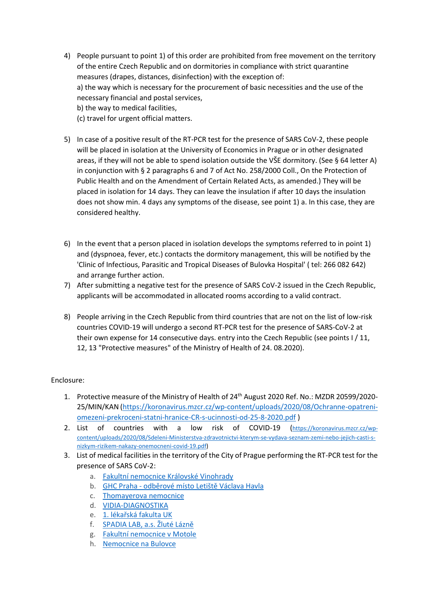- 4) People pursuant to point 1) of this order are prohibited from free movement on the territory of the entire Czech Republic and on dormitories in compliance with strict quarantine measures (drapes, distances, disinfection) with the exception of: a) the way which is necessary for the procurement of basic necessities and the use of the necessary financial and postal services, b) the way to medical facilities,
	- (c) travel for urgent official matters.
- 5) In case of a positive result of the RT-PCR test for the presence of SARS CoV-2, these people will be placed in isolation at the University of Economics in Prague or in other designated areas, if they will not be able to spend isolation outside the VŠE dormitory. (See § 64 letter A) in conjunction with § 2 paragraphs 6 and 7 of Act No. 258/2000 Coll., On the Protection of Public Health and on the Amendment of Certain Related Acts, as amended.) They will be placed in isolation for 14 days. They can leave the insulation if after 10 days the insulation does not show min. 4 days any symptoms of the disease, see point 1) a. In this case, they are considered healthy.
- 6) In the event that a person placed in isolation develops the symptoms referred to in point 1) and (dyspnoea, fever, etc.) contacts the dormitory management, this will be notified by the 'Clinic of Infectious, Parasitic and Tropical Diseases of Bulovka Hospital' ( tel: 266 082 642) and arrange further action.
- 7) After submitting a negative test for the presence of SARS CoV-2 issued in the Czech Republic, applicants will be accommodated in allocated rooms according to a valid contract.
- 8) People arriving in the Czech Republic from third countries that are not on the list of low-risk countries COVID-19 will undergo a second RT-PCR test for the presence of SARS-CoV-2 at their own expense for 14 consecutive days. entry into the Czech Republic (see points I / 11, 12, 13 "Protective measures" of the Ministry of Health of 24. 08.2020).

### Enclosure:

- 1. Protective measure of the Ministry of Health of 24<sup>th</sup> August 2020 Ref. No.: MZDR 20599/2020-25/MIN/KAN [\(https://koronavirus.mzcr.cz/wp-content/uploads/2020/08/Ochranne-opatreni](https://koronavirus.mzcr.cz/wp-content/uploads/2020/08/Ochranne-opatreni-omezeni-prekroceni-statni-hranice-CR-s-ucinnosti-od-25-8-2020.pdf)[omezeni-prekroceni-statni-hranice-CR-s-ucinnosti-od-25-8-2020.pdf](https://koronavirus.mzcr.cz/wp-content/uploads/2020/08/Ochranne-opatreni-omezeni-prekroceni-statni-hranice-CR-s-ucinnosti-od-25-8-2020.pdf) )
- 2. List of countries with a low risk of COVID-19 ([https://koronavirus.mzcr.cz/wp](https://koronavirus.mzcr.cz/wp-content/uploads/2020/08/Sdeleni-Ministerstva-zdravotnictvi-kterym-se-vydava-seznam-zemi-nebo-jejich-casti-s-nizkym-rizikem-nakazy-onemocneni-covid-19.pdf)[content/uploads/2020/08/Sdeleni-Ministerstva-zdravotnictvi-kterym-se-vydava-seznam-zemi-nebo-jejich-casti-s](https://koronavirus.mzcr.cz/wp-content/uploads/2020/08/Sdeleni-Ministerstva-zdravotnictvi-kterym-se-vydava-seznam-zemi-nebo-jejich-casti-s-nizkym-rizikem-nakazy-onemocneni-covid-19.pdf)[nizkym-rizikem-nakazy-onemocneni-covid-19.pdf\)](https://koronavirus.mzcr.cz/wp-content/uploads/2020/08/Sdeleni-Ministerstva-zdravotnictvi-kterym-se-vydava-seznam-zemi-nebo-jejich-casti-s-nizkym-rizikem-nakazy-onemocneni-covid-19.pdf)
- 3. List of medical facilities in the territory of the City of Prague performing the RT-PCR test for the presence of SARS CoV-2:
	- a. [Fakultní nemocnice Královské Vinohrady](https://cfa.uzis.cz/sampling-points/d9da6ab0-e5d4-4ca0-b572-5e260b8a2999/)
	- b. GHC Praha [odběrové místo Letiště Václava Havla](https://cfa.uzis.cz/sampling-points/5a136b42-596b-4b38-8582-d160c5c8e85e/)
	- c. [Thomayerova nemocnice](https://cfa.uzis.cz/sampling-points/aa29c68c-364a-4980-aa0c-19443aff2eb3/)
	- d. [VIDIA-DIAGNOSTIKA](https://cfa.uzis.cz/sampling-points/f9946bc4-b1aa-473e-8794-b22b0206fb88/)
	- e. [1. lékařská fakulta UK](https://cfa.uzis.cz/sampling-points/af201738-8b3f-4857-88cb-fbb3c7d8ad7e/)
	- f. [SPADIA LAB, a](https://cfa.uzis.cz/sampling-points/ebc5756c-3532-4850-94c7-17625f342203/).s. Žluté Lázně
	- g. [Fakultní nemocnice v Motole](https://cfa.uzis.cz/sampling-points/7b786058-dfe9-487e-9f8a-9a7cc18464f2/)
	- h. [Nemocnice na Bulovce](https://cfa.uzis.cz/sampling-points/9133b301-77e5-4919-897e-6be3031bded9/)